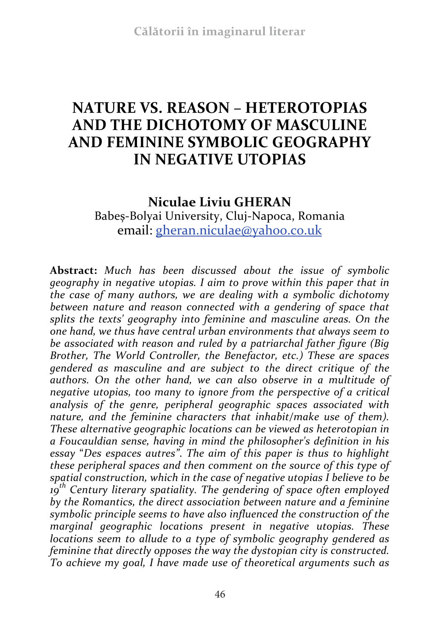# **NATURE VS. REASON – HETEROTOPIAS AND THE DICHOTOMY OF MASCULINE AND FEMININE SYMBOLIC GEOGRAPHY IN NEGATIVE UTOPIAS**

**Niculae Liviu GHERAN**  Babeș-Bolyai University, Cluj-Napoca, Romania email: gheran.niculae@yahoo.co.uk

**Abstract:** *Much has been discussed about the issue of symbolic geography in negative utopias. I aim to prove within this paper that in the case of many authors, we are dealing with a symbolic dichotomy between nature and reason connected with a gendering of space that splits the texts' geography into feminine and masculine areas. On the one hand, we thus have central urban environments that always seem to be associated with reason and ruled by a patriarchal father figure (Big Brother, The World Controller, the Benefactor, etc.) These are spaces gendered as masculine and are subject to the direct critique of the authors. On the other hand, we can also observe in a multitude of negative utopias, too many to ignore from the perspective of a critical analysis of the genre, peripheral geographic spaces associated with nature, and the feminine characters that inhabit/make use of them). These alternative geographic locations can be viewed as heterotopian in a Foucauldian sense, having in mind the philosopher's definition in his essay* "*Des espaces autres"*. *The aim of this paper is thus to highlight these peripheral spaces and then comment on the source of this type of spatial construction, which in the case of negative utopias I believe to be 19 th Century literary spatiality. The gendering of space often employed by the Romantics, the direct association between nature and a feminine symbolic principle seems to have also influenced the construction of the marginal geographic locations present in negative utopias. These locations seem to allude to a type of symbolic geography gendered as feminine that directly opposes the way the dystopian city is constructed. To achieve my goal, I have made use of theoretical arguments such as*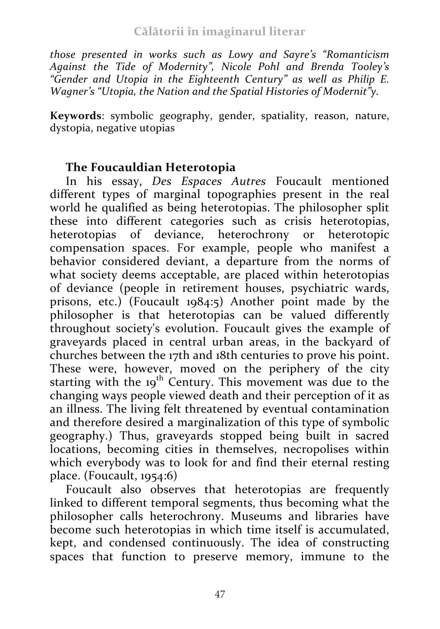#### **Călătorii în imaginarul literar**

*those presented in works such as Lowy and Sayre's "Romanticism Against the Tide of Modernity", Nicole Pohl and Brenda Tooley's "Gender and Utopia in the Eighteenth Century" as well as Philip E. Wagner's "Utopia, the Nation and the Spatial Histories of Modernit"y.*

**Keywords**: symbolic geography, gender, spatiality, reason, nature, dystopia, negative utopias

### **The Foucauldian Heterotopia**

In his essay, *Des Espaces Autres* Foucault mentioned different types of marginal topographies present in the real world he qualified as being heterotopias. The philosopher split these into different categories such as crisis heterotopias, heterotopias of deviance, heterochrony or heterotopic compensation spaces. For example, people who manifest a behavior considered deviant, a departure from the norms of what society deems acceptable, are placed within heterotopias of deviance (people in retirement houses, psychiatric wards, prisons, etc.) (Foucault 1984:5) Another point made by the philosopher is that heterotopias can be valued differently throughout society's evolution. Foucault gives the example of graveyards placed in central urban areas, in the backyard of churches between the 17th and 18th centuries to prove his point. These were, however, moved on the periphery of the city starting with the 19<sup>th</sup> Century. This movement was due to the changing ways people viewed death and their perception of it as an illness. The living felt threatened by eventual contamination and therefore desired a marginalization of this type of symbolic geography.) Thus, graveyards stopped being built in sacred locations, becoming cities in themselves, necropolises within which everybody was to look for and find their eternal resting place. (Foucault, 1954:6)

Foucault also observes that heterotopias are frequently linked to different temporal segments, thus becoming what the philosopher calls heterochrony. Museums and libraries have become such heterotopias in which time itself is accumulated, kept, and condensed continuously. The idea of constructing spaces that function to preserve memory, immune to the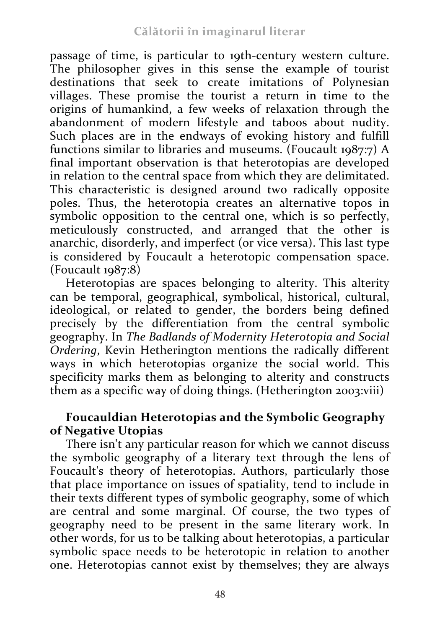passage of time, is particular to 19th-century western culture. The philosopher gives in this sense the example of tourist destinations that seek to create imitations of Polynesian villages. These promise the tourist a return in time to the origins of humankind, a few weeks of relaxation through the abandonment of modern lifestyle and taboos about nudity. Such places are in the endways of evoking history and fulfill functions similar to libraries and museums. (Foucault 1987:7) A final important observation is that heterotopias are developed in relation to the central space from which they are delimitated. This characteristic is designed around two radically opposite poles. Thus, the heterotopia creates an alternative topos in symbolic opposition to the central one, which is so perfectly, meticulously constructed, and arranged that the other is anarchic, disorderly, and imperfect (or vice versa). This last type is considered by Foucault a heterotopic compensation space.  $(Foucault 1987:8)$ 

Heterotopias are spaces belonging to alterity. This alterity can be temporal, geographical, symbolical, historical, cultural, ideological, or related to gender, the borders being defined precisely by the differentiation from the central symbolic geography. In *The Badlands of Modernity Heterotopia and Social Ordering*, Kevin Hetherington mentions the radically different ways in which heterotopias organize the social world. This specificity marks them as belonging to alterity and constructs them as a specific way of doing things. (Hetherington 2003:viii)

## **Foucauldian Heterotopias and the Symbolic Geography of Negative Utopias**

There isn't any particular reason for which we cannot discuss the symbolic geography of a literary text through the lens of Foucault's theory of heterotopias. Authors, particularly those that place importance on issues of spatiality, tend to include in their texts different types of symbolic geography, some of which are central and some marginal. Of course, the two types of geography need to be present in the same literary work. In other words, for us to be talking about heterotopias, a particular symbolic space needs to be heterotopic in relation to another one. Heterotopias cannot exist by themselves; they are always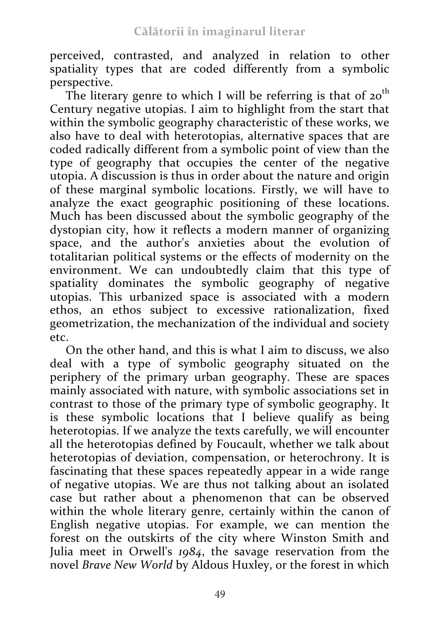perceived, contrasted, and analyzed in relation to other spatiality types that are coded differently from a symbolic perspective.

The literary genre to which I will be referring is that of  $20<sup>th</sup>$ Century negative utopias. I aim to highlight from the start that within the symbolic geography characteristic of these works, we also have to deal with heterotopias, alternative spaces that are coded radically different from a symbolic point of view than the type of geography that occupies the center of the negative utopia. A discussion is thus in order about the nature and origin of these marginal symbolic locations. Firstly, we will have to analyze the exact geographic positioning of these locations. Much has been discussed about the symbolic geography of the dystopian city, how it reflects a modern manner of organizing space, and the author's anxieties about the evolution of totalitarian political systems or the effects of modernity on the environment. We can undoubtedly claim that this type of spatiality dominates the symbolic geography of negative utopias. This urbanized space is associated with a modern ethos, an ethos subject to excessive rationalization, fixed geometrization, the mechanization of the individual and society etc.

On the other hand, and this is what I aim to discuss, we also deal with a type of symbolic geography situated on the periphery of the primary urban geography. These are spaces mainly associated with nature, with symbolic associations set in contrast to those of the primary type of symbolic geography. It is these symbolic locations that I believe qualify as being heterotopias. If we analyze the texts carefully, we will encounter all the heterotopias defined by Foucault, whether we talk about heterotopias of deviation, compensation, or heterochrony. It is fascinating that these spaces repeatedly appear in a wide range of negative utopias. We are thus not talking about an isolated case but rather about a phenomenon that can be observed within the whole literary genre, certainly within the canon of English negative utopias. For example, we can mention the forest on the outskirts of the city where Winston Smith and Julia meet in Orwell's *1984*, the savage reservation from the novel *Brave New World* by Aldous Huxley, or the forest in which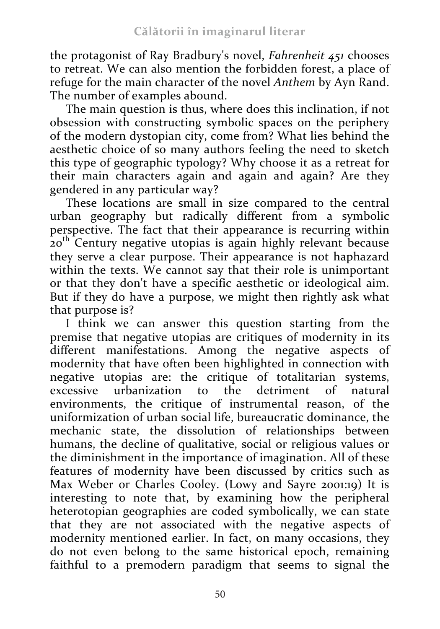the protagonist of Ray Bradbury's novel, *Fahrenheit 451* chooses to retreat. We can also mention the forbidden forest, a place of refuge for the main character of the novel *Anthem* by Ayn Rand. The number of examples abound.

The main question is thus, where does this inclination, if not obsession with constructing symbolic spaces on the periphery of the modern dystopian city, come from? What lies behind the aesthetic choice of so many authors feeling the need to sketch this type of geographic typology? Why choose it as a retreat for their main characters again and again and again? Are they gendered in any particular way?

These locations are small in size compared to the central urban geography but radically different from a symbolic perspective. The fact that their appearance is recurring within 20<sup>th</sup> Century negative utopias is again highly relevant because they serve a clear purpose. Their appearance is not haphazard within the texts. We cannot say that their role is unimportant or that they don't have a specific aesthetic or ideological aim. But if they do have a purpose, we might then rightly ask what that purpose is?

I think we can answer this question starting from the premise that negative utopias are critiques of modernity in its different manifestations. Among the negative aspects of modernity that have often been highlighted in connection with negative utopias are: the critique of totalitarian systems, excessive urbanization to the detriment of natural environments, the critique of instrumental reason, of the uniformization of urban social life, bureaucratic dominance, the mechanic state, the dissolution of relationships between humans, the decline of qualitative, social or religious values or the diminishment in the importance of imagination. All of these features of modernity have been discussed by critics such as Max Weber or Charles Cooley. (Lowy and Sayre 2001:19) It is interesting to note that, by examining how the peripheral heterotopian geographies are coded symbolically, we can state that they are not associated with the negative aspects of modernity mentioned earlier. In fact, on many occasions, they do not even belong to the same historical epoch, remaining faithful to a premodern paradigm that seems to signal the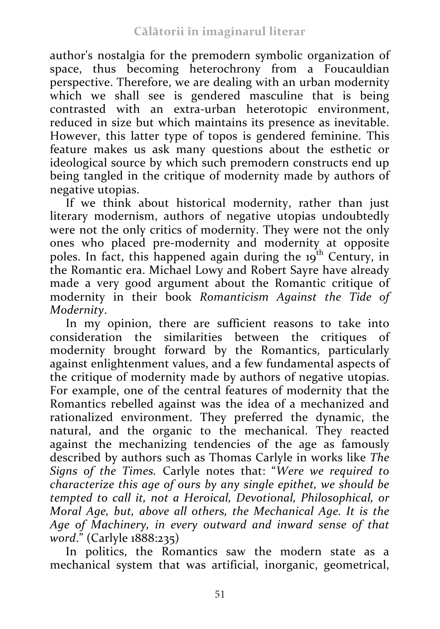author's nostalgia for the premodern symbolic organization of space, thus becoming heterochrony from a Foucauldian perspective. Therefore, we are dealing with an urban modernity which we shall see is gendered masculine that is being contrasted with an extra-urban heterotopic environment, reduced in size but which maintains its presence as inevitable. However, this latter type of topos is gendered feminine. This feature makes us ask many questions about the esthetic or ideological source by which such premodern constructs end up being tangled in the critique of modernity made by authors of negative utopias.

If we think about historical modernity, rather than just literary modernism, authors of negative utopias undoubtedly were not the only critics of modernity. They were not the only ones who placed pre-modernity and modernity at opposite poles. In fact, this happened again during the 19<sup>th</sup> Century, in the Romantic era. Michael Lowy and Robert Sayre have already made a very good argument about the Romantic critique of modernity in their book *Romanticism Against the Tide of Modernity*.

In my opinion, there are sufficient reasons to take into consideration the similarities between the critiques of modernity brought forward by the Romantics, particularly against enlightenment values, and a few fundamental aspects of the critique of modernity made by authors of negative utopias. For example, one of the central features of modernity that the Romantics rebelled against was the idea of a mechanized and rationalized environment. They preferred the dynamic, the natural, and the organic to the mechanical. They reacted against the mechanizing tendencies of the age as famously described by authors such as Thomas Carlyle in works like *The Signs of the Times.* Carlyle notes that: "*Were we required to characterize this age of ours by any single epithet, we should be tempted to call it, not a Heroical, Devotional, Philosophical, or Moral Age, but, above all others, the Mechanical Age. It is the Age of Machinery, in every outward and inward sense of that word*." (Carlyle 1888:235)

In politics, the Romantics saw the modern state as a mechanical system that was artificial, inorganic, geometrical,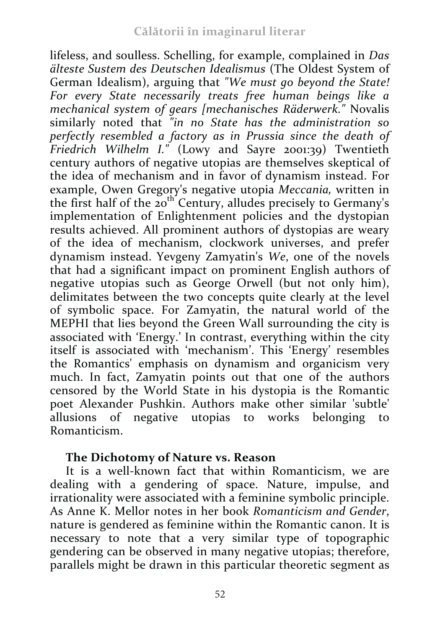lifeless, and soulless. Schelling, for example, complained in *Das älteste Sustem des Deutschen Idealismus* (The Oldest System of German Idealism), arguing that *"We must go beyond the State! For every State necessarily treats free human beings like a mechanical system of gears [mechanisches Räderwerk."* Novalis similarly noted that *"in no State has the administration so perfectly resembled a factory as in Prussia since the death of Friedrich Wilhelm I."* (Lowy and Sayre 2001:39) Twentieth century authors of negative utopias are themselves skeptical of the idea of mechanism and in favor of dynamism instead. For example, Owen Gregory's negative utopia *Meccania,* written in the first half of the 20th Century, alludes precisely to Germany's implementation of Enlightenment policies and the dystopian results achieved. All prominent authors of dystopias are weary of the idea of mechanism, clockwork universes, and prefer dynamism instead. Yevgeny Zamyatin's *We*, one of the novels that had a significant impact on prominent English authors of negative utopias such as George Orwell (but not only him), delimitates between the two concepts quite clearly at the level of symbolic space. For Zamyatin, the natural world of the MEPHI that lies beyond the Green Wall surrounding the city is associated with 'Energy.' In contrast, everything within the city itself is associated with 'mechanism'. This 'Energy' resembles the Romantics' emphasis on dynamism and organicism very much. In fact, Zamyatin points out that one of the authors censored by the World State in his dystopia is the Romantic poet Alexander Pushkin. Authors make other similar 'subtle' allusions of negative utopias to works belonging to Romanticism.

## **The Dichotomy of Nature vs. Reason**

It is a well-known fact that within Romanticism, we are dealing with a gendering of space. Nature, impulse, and irrationality were associated with a feminine symbolic principle. As Anne K. Mellor notes in her book *Romanticism and Gender*, nature is gendered as feminine within the Romantic canon. It is necessary to note that a very similar type of topographic gendering can be observed in many negative utopias; therefore, parallels might be drawn in this particular theoretic segment as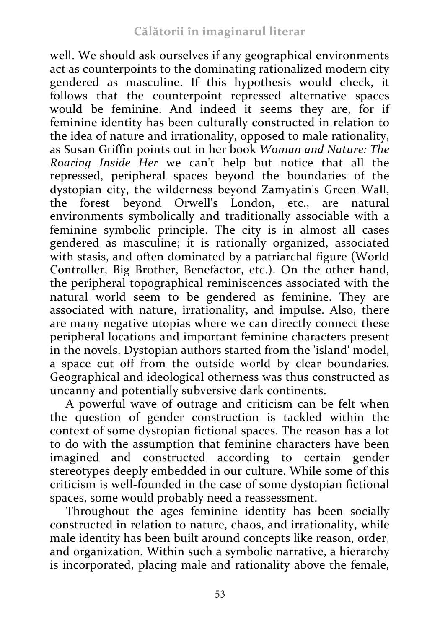well. We should ask ourselves if any geographical environments act as counterpoints to the dominating rationalized modern city gendered as masculine. If this hypothesis would check, it follows that the counterpoint repressed alternative spaces would be feminine. And indeed it seems they are, for if feminine identity has been culturally constructed in relation to the idea of nature and irrationality, opposed to male rationality, as Susan Griffin points out in her book *Woman and Nature: The Roaring Inside Her* we can't help but notice that all the repressed, peripheral spaces beyond the boundaries of the dystopian city, the wilderness beyond Zamyatin's Green Wall, the forest beyond Orwell's London, etc., are natural environments symbolically and traditionally associable with a feminine symbolic principle. The city is in almost all cases gendered as masculine; it is rationally organized, associated with stasis, and often dominated by a patriarchal figure (World Controller, Big Brother, Benefactor, etc.). On the other hand, the peripheral topographical reminiscences associated with the natural world seem to be gendered as feminine. They are associated with nature, irrationality, and impulse. Also, there are many negative utopias where we can directly connect these peripheral locations and important feminine characters present in the novels. Dystopian authors started from the 'island' model, a space cut off from the outside world by clear boundaries. Geographical and ideological otherness was thus constructed as uncanny and potentially subversive dark continents.

A powerful wave of outrage and criticism can be felt when the question of gender construction is tackled within the context of some dystopian fictional spaces. The reason has a lot to do with the assumption that feminine characters have been imagined and constructed according to certain gender stereotypes deeply embedded in our culture. While some of this criticism is well-founded in the case of some dystopian fictional spaces, some would probably need a reassessment.

Throughout the ages feminine identity has been socially constructed in relation to nature, chaos, and irrationality, while male identity has been built around concepts like reason, order, and organization. Within such a symbolic narrative, a hierarchy is incorporated, placing male and rationality above the female,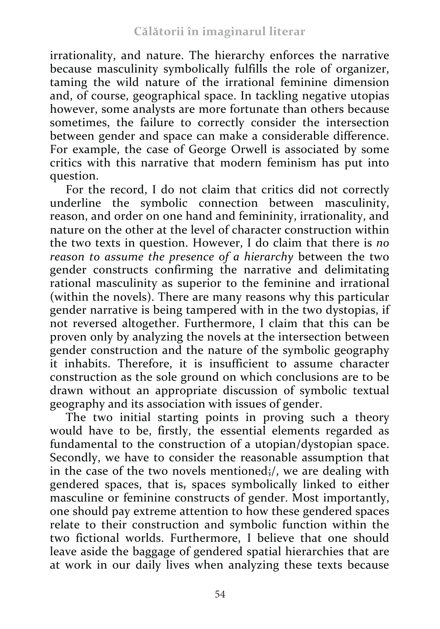irrationality, and nature. The hierarchy enforces the narrative because masculinity symbolically fulfills the role of organizer, taming the wild nature of the irrational feminine dimension and, of course, geographical space. In tackling negative utopias however, some analysts are more fortunate than others because sometimes, the failure to correctly consider the intersection between gender and space can make a considerable difference. For example, the case of George Orwell is associated by some critics with this narrative that modern feminism has put into question.

For the record, I do not claim that critics did not correctly underline the symbolic connection between masculinity, reason, and order on one hand and femininity, irrationality, and nature on the other at the level of character construction within the two texts in question. However, I do claim that there is *no reason to assume the presence of a hierarchy* between the two gender constructs confirming the narrative and delimitating rational masculinity as superior to the feminine and irrational (within the novels). There are many reasons why this particular gender narrative is being tampered with in the two dystopias, if not reversed altogether. Furthermore, I claim that this can be proven only by analyzing the novels at the intersection between gender construction and the nature of the symbolic geography it inhabits. Therefore, it is insufficient to assume character construction as the sole ground on which conclusions are to be drawn without an appropriate discussion of symbolic textual geography and its association with issues of gender.

The two initial starting points in proving such a theory would have to be, firstly, the essential elements regarded as fundamental to the construction of a utopian/dystopian space. Secondly, we have to consider the reasonable assumption that in the case of the two novels mentioned;/, we are dealing with gendered spaces, that is, spaces symbolically linked to either masculine or feminine constructs of gender. Most importantly, one should pay extreme attention to how these gendered spaces relate to their construction and symbolic function within the two fictional worlds. Furthermore, I believe that one should leave aside the baggage of gendered spatial hierarchies that are at work in our daily lives when analyzing these texts because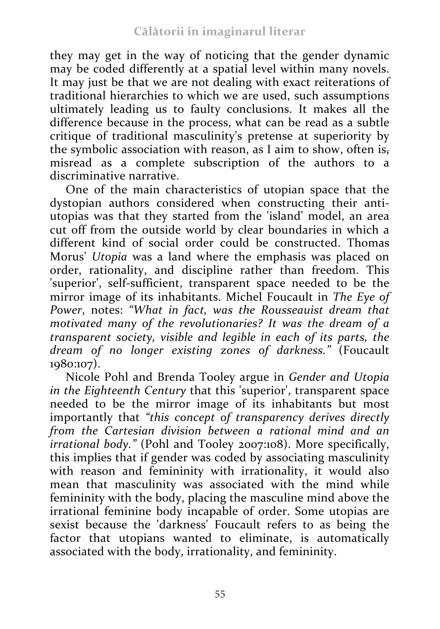they may get in the way of noticing that the gender dynamic may be coded differently at a spatial level within many novels. It may just be that we are not dealing with exact reiterations of traditional hierarchies to which we are used, such assumptions ultimately leading us to faulty conclusions. It makes all the difference because in the process, what can be read as a subtle critique of traditional masculinity's pretense at superiority by the symbolic association with reason, as I aim to show, often is, misread as a complete subscription of the authors to a discriminative narrative.

One of the main characteristics of utopian space that the dystopian authors considered when constructing their antiutopias was that they started from the 'island' model, an area cut off from the outside world by clear boundaries in which a different kind of social order could be constructed. Thomas Morus' *Utopia* was a land where the emphasis was placed on order, rationality, and discipline rather than freedom. This 'superior', self-sufficient, transparent space needed to be the mirror image of its inhabitants. Michel Foucault in *The Eye of Power*, notes: *"What in fact, was the Rousseauist dream that motivated many of the revolutionaries? It was the dream of a transparent society, visible and legible in each of its parts, the dream of no longer existing zones of darkness."* (Foucault 1980:107).

Nicole Pohl and Brenda Tooley argue in *Gender and Utopia in the Eighteenth Century* that this 'superior', transparent space needed to be the mirror image of its inhabitants but most importantly that *"this concept of transparency derives directly from the Cartesian division between a rational mind and an irrational body."* (Pohl and Tooley 2007:108). More specifically, this implies that if gender was coded by associating masculinity with reason and femininity with irrationality, it would also mean that masculinity was associated with the mind while femininity with the body, placing the masculine mind above the irrational feminine body incapable of order. Some utopias are sexist because the 'darkness' Foucault refers to as being the factor that utopians wanted to eliminate, is automatically associated with the body, irrationality, and femininity.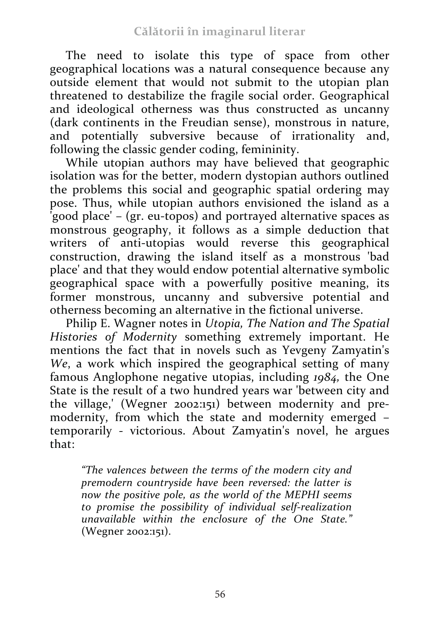The need to isolate this type of space from other geographical locations was a natural consequence because any outside element that would not submit to the utopian plan threatened to destabilize the fragile social order. Geographical and ideological otherness was thus constructed as uncanny (dark continents in the Freudian sense), monstrous in nature, and potentially subversive because of irrationality and, following the classic gender coding, femininity.

While utopian authors may have believed that geographic isolation was for the better, modern dystopian authors outlined the problems this social and geographic spatial ordering may pose. Thus, while utopian authors envisioned the island as a 'good place' – (gr. eu-topos) and portrayed alternative spaces as monstrous geography, it follows as a simple deduction that writers of anti-utopias would reverse this geographical construction, drawing the island itself as a monstrous 'bad place' and that they would endow potential alternative symbolic geographical space with a powerfully positive meaning, its former monstrous, uncanny and subversive potential and otherness becoming an alternative in the fictional universe.

Philip E. Wagner notes in *Utopia, The Nation and The Spatial Histories of Modernity* something extremely important. He mentions the fact that in novels such as Yevgeny Zamyatin's *We*, a work which inspired the geographical setting of many famous Anglophone negative utopias, including *1984,* the One State is the result of a two hundred years war 'between city and the village,' (Wegner 2002:151) between modernity and premodernity, from which the state and modernity emerged – temporarily - victorious. About Zamyatin's novel, he argues that:

*"The valences between the terms of the modern city and premodern countryside have been reversed: the latter is now the positive pole, as the world of the MEPHI seems to promise the possibility of individual self-realization unavailable within the enclosure of the One State."*  (Wegner 2002:151).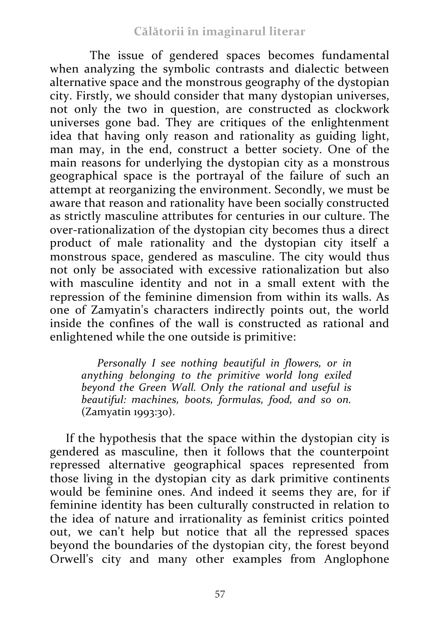#### **Călătorii în imaginarul literar**

The issue of gendered spaces becomes fundamental when analyzing the symbolic contrasts and dialectic between alternative space and the monstrous geography of the dystopian city. Firstly, we should consider that many dystopian universes, not only the two in question, are constructed as clockwork universes gone bad. They are critiques of the enlightenment idea that having only reason and rationality as guiding light, man may, in the end, construct a better society. One of the main reasons for underlying the dystopian city as a monstrous geographical space is the portrayal of the failure of such an attempt at reorganizing the environment. Secondly, we must be aware that reason and rationality have been socially constructed as strictly masculine attributes for centuries in our culture. The over-rationalization of the dystopian city becomes thus a direct product of male rationality and the dystopian city itself a monstrous space, gendered as masculine. The city would thus not only be associated with excessive rationalization but also with masculine identity and not in a small extent with the repression of the feminine dimension from within its walls. As one of Zamyatin's characters indirectly points out, the world inside the confines of the wall is constructed as rational and enlightened while the one outside is primitive:

*Personally I see nothing beautiful in flowers, or in anything belonging to the primitive world long exiled beyond the Green Wall. Only the rational and useful is beautiful: machines, boots, formulas, food, and so on.*  (Zamyatin 1993:30).

If the hypothesis that the space within the dystopian city is gendered as masculine, then it follows that the counterpoint repressed alternative geographical spaces represented from those living in the dystopian city as dark primitive continents would be feminine ones. And indeed it seems they are, for if feminine identity has been culturally constructed in relation to the idea of nature and irrationality as feminist critics pointed out, we can't help but notice that all the repressed spaces beyond the boundaries of the dystopian city, the forest beyond Orwell's city and many other examples from Anglophone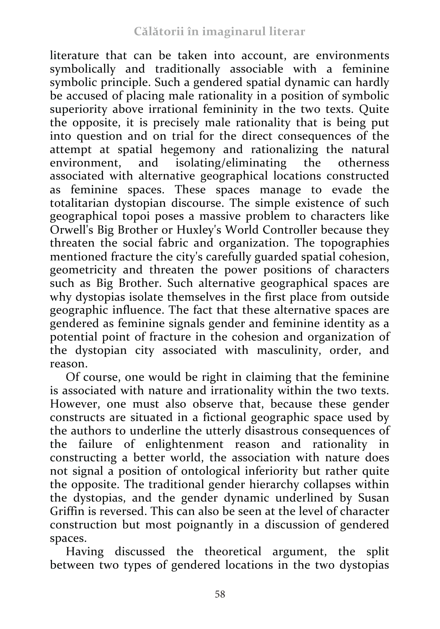literature that can be taken into account, are environments symbolically and traditionally associable with a feminine symbolic principle. Such a gendered spatial dynamic can hardly be accused of placing male rationality in a position of symbolic superiority above irrational femininity in the two texts. Quite the opposite, it is precisely male rationality that is being put into question and on trial for the direct consequences of the attempt at spatial hegemony and rationalizing the natural environment, and isolating/eliminating the otherness associated with alternative geographical locations constructed as feminine spaces. These spaces manage to evade the totalitarian dystopian discourse. The simple existence of such geographical topoi poses a massive problem to characters like Orwell's Big Brother or Huxley's World Controller because they threaten the social fabric and organization. The topographies mentioned fracture the city's carefully guarded spatial cohesion, geometricity and threaten the power positions of characters such as Big Brother. Such alternative geographical spaces are why dystopias isolate themselves in the first place from outside geographic influence. The fact that these alternative spaces are gendered as feminine signals gender and feminine identity as a potential point of fracture in the cohesion and organization of the dystopian city associated with masculinity, order, and reason.

Of course, one would be right in claiming that the feminine is associated with nature and irrationality within the two texts. However, one must also observe that, because these gender constructs are situated in a fictional geographic space used by the authors to underline the utterly disastrous consequences of the failure of enlightenment reason and rationality in constructing a better world, the association with nature does not signal a position of ontological inferiority but rather quite the opposite. The traditional gender hierarchy collapses within the dystopias, and the gender dynamic underlined by Susan Griffin is reversed. This can also be seen at the level of character construction but most poignantly in a discussion of gendered spaces.

Having discussed the theoretical argument, the split between two types of gendered locations in the two dystopias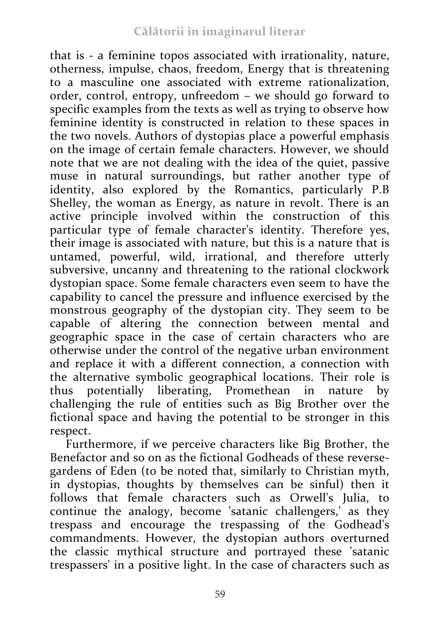that is - a feminine topos associated with irrationality, nature, otherness, impulse, chaos, freedom, Energy that is threatening to a masculine one associated with extreme rationalization, order, control, entropy, unfreedom – we should go forward to specific examples from the texts as well as trying to observe how feminine identity is constructed in relation to these spaces in the two novels. Authors of dystopias place a powerful emphasis on the image of certain female characters. However, we should note that we are not dealing with the idea of the quiet, passive muse in natural surroundings, but rather another type of identity, also explored by the Romantics, particularly P.B Shelley, the woman as Energy, as nature in revolt. There is an active principle involved within the construction of this particular type of female character's identity. Therefore yes, their image is associated with nature, but this is a nature that is untamed, powerful, wild, irrational, and therefore utterly subversive, uncanny and threatening to the rational clockwork dystopian space. Some female characters even seem to have the capability to cancel the pressure and influence exercised by the monstrous geography of the dystopian city. They seem to be capable of altering the connection between mental and geographic space in the case of certain characters who are otherwise under the control of the negative urban environment and replace it with a different connection, a connection with the alternative symbolic geographical locations. Their role is thus potentially liberating, Promethean in nature by challenging the rule of entities such as Big Brother over the fictional space and having the potential to be stronger in this respect.

Furthermore, if we perceive characters like Big Brother, the Benefactor and so on as the fictional Godheads of these reversegardens of Eden (to be noted that, similarly to Christian myth, in dystopias, thoughts by themselves can be sinful) then it follows that female characters such as Orwell's Julia, to continue the analogy, become 'satanic challengers,' as they trespass and encourage the trespassing of the Godhead's commandments. However, the dystopian authors overturned the classic mythical structure and portrayed these 'satanic trespassers' in a positive light. In the case of characters such as

59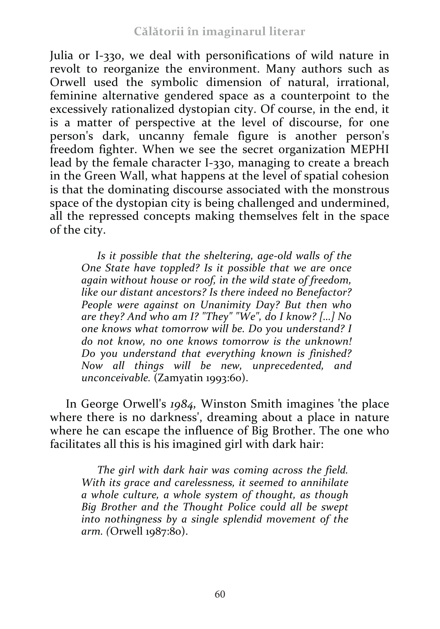Julia or I-330, we deal with personifications of wild nature in revolt to reorganize the environment. Many authors such as Orwell used the symbolic dimension of natural, irrational, feminine alternative gendered space as a counterpoint to the excessively rationalized dystopian city. Of course, in the end, it is a matter of perspective at the level of discourse, for one person's dark, uncanny female figure is another person's freedom fighter. When we see the secret organization MEPHI lead by the female character I-330, managing to create a breach in the Green Wall, what happens at the level of spatial cohesion is that the dominating discourse associated with the monstrous space of the dystopian city is being challenged and undermined, all the repressed concepts making themselves felt in the space of the city.

*Is it possible that the sheltering, age-old walls of the One State have toppled? Is it possible that we are once again without house or roof, in the wild state of freedom, like our distant ancestors? Is there indeed no Benefactor? People were against on Unanimity Day? But then who are they? And who am I? "They" "We", do I know? […] No one knows what tomorrow will be. Do you understand? I do not know, no one knows tomorrow is the unknown! Do you understand that everything known is finished? Now all things will be new, unprecedented, and unconceivable.* (Zamyatin 1993:60).

In George Orwell's *1984,* Winston Smith imagines 'the place where there is no darkness', dreaming about a place in nature where he can escape the influence of Big Brother. The one who facilitates all this is his imagined girl with dark hair:

*The girl with dark hair was coming across the field. With its grace and carelessness, it seemed to annihilate a whole culture, a whole system of thought, as though Big Brother and the Thought Police could all be swept into nothingness by a single splendid movement of the arm. (*Orwell 1987:80).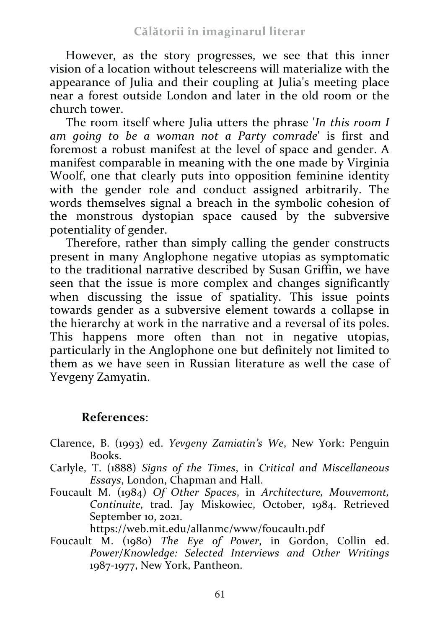However, as the story progresses, we see that this inner vision of a location without telescreens will materialize with the appearance of Julia and their coupling at Julia's meeting place near a forest outside London and later in the old room or the church tower.

The room itself where Julia utters the phrase '*In this room I am going to be a woman not a Party comrade*' is first and foremost a robust manifest at the level of space and gender. A manifest comparable in meaning with the one made by Virginia Woolf, one that clearly puts into opposition feminine identity with the gender role and conduct assigned arbitrarily. The words themselves signal a breach in the symbolic cohesion of the monstrous dystopian space caused by the subversive potentiality of gender.

Therefore, rather than simply calling the gender constructs present in many Anglophone negative utopias as symptomatic to the traditional narrative described by Susan Griffin, we have seen that the issue is more complex and changes significantly when discussing the issue of spatiality. This issue points towards gender as a subversive element towards a collapse in the hierarchy at work in the narrative and a reversal of its poles. This happens more often than not in negative utopias, particularly in the Anglophone one but definitely not limited to them as we have seen in Russian literature as well the case of Yevgeny Zamyatin.

## **References**:

- Clarence, B. (1993) ed. *Yevgeny Zamiatin's We*, New York: Penguin Books.
- Carlyle, T. (1888) *Signs of the Times*, in *Critical and Miscellaneous Essays*, London, Chapman and Hall.
- Foucault M. (1984) *Of Other Spaces*, in *Architecture, Mouvemont, Continuite*, trad. Jay Miskowiec, October, 1984. Retrieved September 10, 2021.

https://web.mit.edu/allanmc/www/foucault1.pdf

Foucault M. (1980) *The Eye of Power*, in Gordon, Collin ed. *Power/Knowledge: Selected Interviews and Other Writings* 1987-1977, New York, Pantheon.